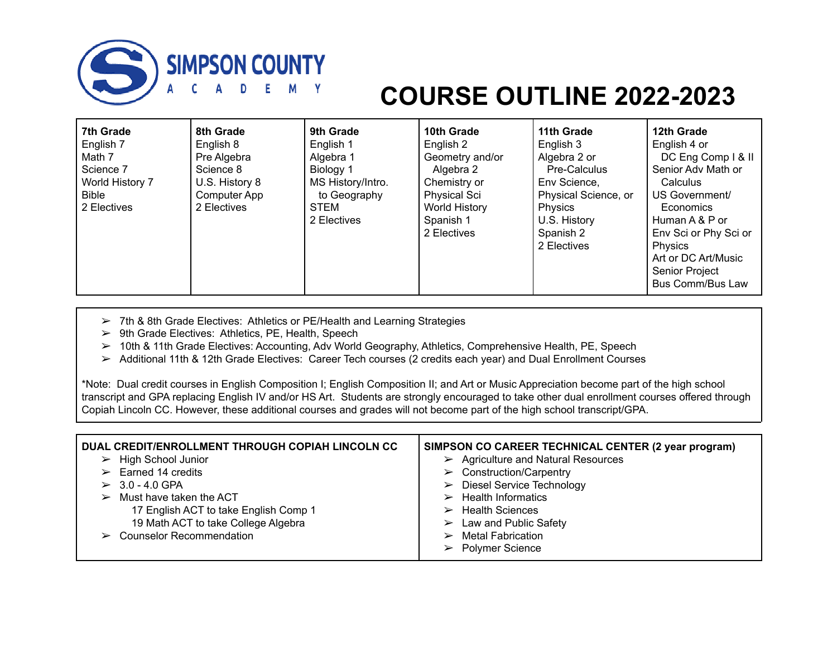

## **COURSE OUTLINE 2022-2023**

| 7th Grade       | 8th Grade      | 9th Grade         | 10th Grade           | 11th Grade           | 12th Grade              |
|-----------------|----------------|-------------------|----------------------|----------------------|-------------------------|
| English 7       | English 8      | English 1         | English 2            | English 3            | English 4 or            |
| Math 7          | Pre Algebra    | Algebra 1         | Geometry and/or      | Algebra 2 or         | DC Eng Comp   & II      |
| Science 7       | Science 8      | Biology 1         | Algebra 2            | Pre-Calculus         | Senior Adv Math or      |
| World History 7 | U.S. History 8 | MS History/Intro. | Chemistry or         | Env Science,         | Calculus                |
| <b>Bible</b>    | Computer App   | to Geography      | <b>Physical Sci</b>  | Physical Science, or | US Government/          |
| 2 Electives     | 2 Electives    | <b>STEM</b>       | <b>World History</b> | Physics              | Economics               |
|                 |                | 2 Electives       | Spanish 1            | U.S. History         | Human A & P or          |
|                 |                |                   | 2 Electives          | Spanish 2            | Env Sci or Phy Sci or   |
|                 |                |                   |                      | 2 Electives          | Physics                 |
|                 |                |                   |                      |                      | Art or DC Art/Music     |
|                 |                |                   |                      |                      | Senior Project          |
|                 |                |                   |                      |                      | <b>Bus Comm/Bus Law</b> |

- ➢ 7th & 8th Grade Electives: Athletics or PE/Health and Learning Strategies
- ➢ 9th Grade Electives: Athletics, PE, Health, Speech
- ➢ 10th & 11th Grade Electives: Accounting, Adv World Geography, Athletics, Comprehensive Health, PE, Speech
- ➢ Additional 11th & 12th Grade Electives: Career Tech courses (2 credits each year) and Dual Enrollment Courses

\*Note: Dual credit courses in English Composition I; English Composition II; and Art or Music Appreciation become part of the high school transcript and GPA replacing English IV and/or HS Art. Students are strongly encouraged to take other dual enrollment courses offered through Copiah Lincoln CC. However, these additional courses and grades will not become part of the high school transcript/GPA.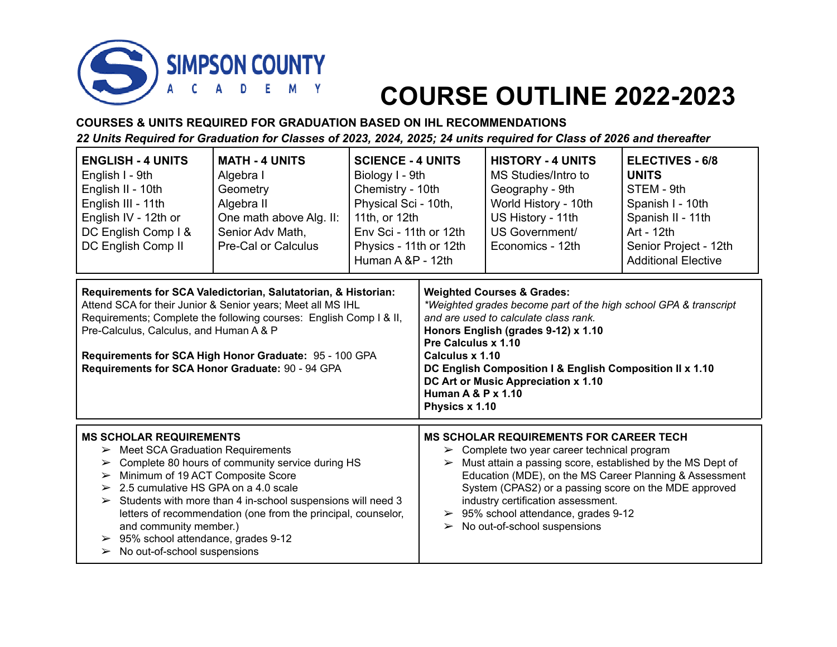

## **COURSE OUTLINE 2022-2023**

**COURSES & UNITS REQUIRED FOR GRADUATION BASED ON IHL RECOMMENDATIONS** 22 Units Required for Graduation for Classes of 2023, 2024, 2025; 24 units required for Class of 2026 and thereafter

| <b>ENGLISH - 4 UNITS</b><br>English I - 9th<br>English II - 10th<br>English III - 11th<br>English IV - 12th or<br>DC English Comp I &<br>DC English Comp II                                                                                                                                                                                                                                                                                                                                                          | <b>MATH - 4 UNITS</b><br>Algebra I<br>Geometry<br>Algebra II<br>One math above Alg. II:<br>Senior Adv Math,<br><b>Pre-Cal or Calculus</b>                                                                                                                                                                         | <b>SCIENCE - 4 UNITS</b><br>Biology I - 9th<br>Chemistry - 10th<br>Physical Sci - 10th,<br>11th, or 12th<br>Env Sci - 11th or 12th<br>Physics - 11th or 12th<br>Human A &P - 12th |                                                                                                                                                                                                                                                                                                                                                                                                                                                            | <b>HISTORY - 4 UNITS</b><br>MS Studies/Intro to<br>Geography - 9th<br>World History - 10th<br>US History - 11th<br>US Government/<br>Economics - 12th | <b>ELECTIVES - 6/8</b><br><b>UNITS</b><br>STEM - 9th<br>Spanish I - 10th<br>Spanish II - 11th<br>Art - 12th<br>Senior Project - 12th<br><b>Additional Elective</b> |  |
|----------------------------------------------------------------------------------------------------------------------------------------------------------------------------------------------------------------------------------------------------------------------------------------------------------------------------------------------------------------------------------------------------------------------------------------------------------------------------------------------------------------------|-------------------------------------------------------------------------------------------------------------------------------------------------------------------------------------------------------------------------------------------------------------------------------------------------------------------|-----------------------------------------------------------------------------------------------------------------------------------------------------------------------------------|------------------------------------------------------------------------------------------------------------------------------------------------------------------------------------------------------------------------------------------------------------------------------------------------------------------------------------------------------------------------------------------------------------------------------------------------------------|-------------------------------------------------------------------------------------------------------------------------------------------------------|--------------------------------------------------------------------------------------------------------------------------------------------------------------------|--|
| Pre-Calculus, Calculus, and Human A & P                                                                                                                                                                                                                                                                                                                                                                                                                                                                              | Requirements for SCA Valedictorian, Salutatorian, & Historian:<br>Attend SCA for their Junior & Senior years; Meet all MS IHL<br>Requirements; Complete the following courses: English Comp I & II,<br>Requirements for SCA High Honor Graduate: 95 - 100 GPA<br>Requirements for SCA Honor Graduate: 90 - 94 GPA |                                                                                                                                                                                   | <b>Weighted Courses &amp; Grades:</b><br>*Weighted grades become part of the high school GPA & transcript<br>and are used to calculate class rank.<br>Honors English (grades 9-12) x 1.10<br>Pre Calculus x 1.10<br>Calculus x 1.10<br>DC English Composition I & English Composition II x 1.10<br>DC Art or Music Appreciation x 1.10<br><b>Human A &amp; P x 1.10</b><br>Physics x 1.10                                                                  |                                                                                                                                                       |                                                                                                                                                                    |  |
| <b>MS SCHOLAR REQUIREMENTS</b><br>$\triangleright$ Meet SCA Graduation Requirements<br>Complete 80 hours of community service during HS<br>➤<br>Minimum of 19 ACT Composite Score<br>➤<br>$\geq 2.5$ cumulative HS GPA on a 4.0 scale<br>Students with more than 4 in-school suspensions will need 3<br>$\blacktriangleright$<br>letters of recommendation (one from the principal, counselor,<br>and community member.)<br>95% school attendance, grades 9-12<br>➤<br>$\triangleright$ No out-of-school suspensions |                                                                                                                                                                                                                                                                                                                   |                                                                                                                                                                                   | <b>MS SCHOLAR REQUIREMENTS FOR CAREER TECH</b><br>$\triangleright$ Complete two year career technical program<br>Must attain a passing score, established by the MS Dept of<br>$\blacktriangleright$<br>Education (MDE), on the MS Career Planning & Assessment<br>System (CPAS2) or a passing score on the MDE approved<br>industry certification assessment.<br>95% school attendance, grades 9-12<br>➤<br>$\triangleright$ No out-of-school suspensions |                                                                                                                                                       |                                                                                                                                                                    |  |